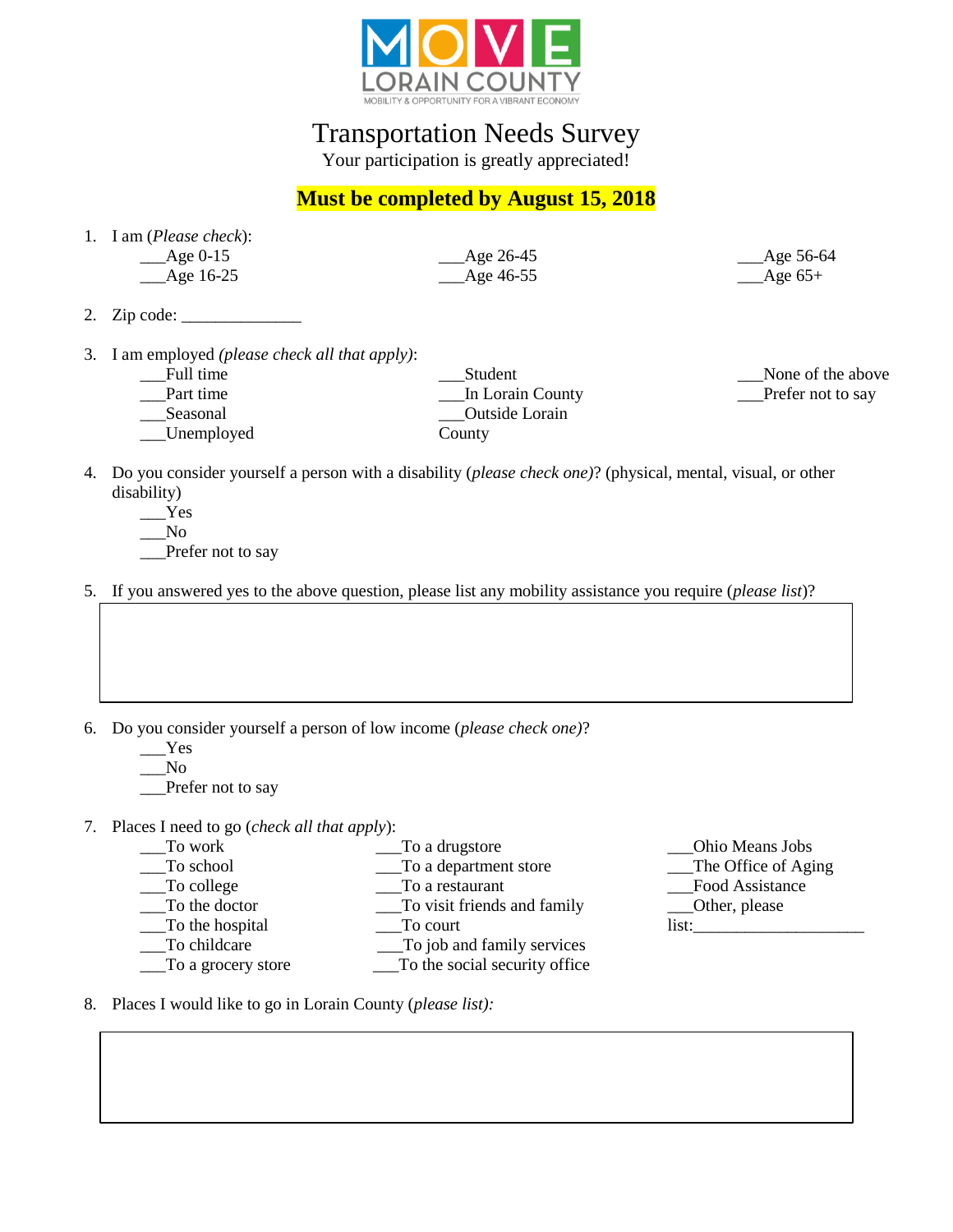

Transportation Needs Survey

Your participation is greatly appreciated!

## **Must be completed by August 15, 2018**

1. I am (*Please check*):  $\_\_\_\_\_\$  Age 0-15

\_\_\_Age 16-25

\_\_\_Age 26-45  $\_\$ {Age\,46-55}

- 2. Zip code: \_\_\_\_\_\_\_\_\_\_\_\_\_\_
- 3. I am employed *(please check all that apply)*:
	- \_\_\_Full time
	- Part time \_\_\_Seasonal
	- \_\_\_Unemployed

\_\_\_Student \_\_\_In Lorain County \_\_\_Outside Lorain County

\_\_\_None of the above Prefer not to say

Age 56-64  $\_\$ {Age} 65+

- 4. Do you consider yourself a person with a disability (*please check one)*? (physical, mental, visual, or other disability)
	- \_\_\_Yes
	- \_\_\_No

\_\_\_Prefer not to say

- 5. If you answered yes to the above question, please list any mobility assistance you require (*please list*)?
- 6. Do you consider yourself a person of low income (*please check one)*?
	- \_\_\_Yes
	- $\sqrt{N}$

Prefer not to say

- 7. Places I need to go (*check all that apply*):
	- \_\_\_To work \_\_\_To a drugstore
	- To school \_\_\_To a department store
	- To college \_\_\_To a restaurant
	- \_\_\_To the doctor \_\_\_To visit friends and family
		- To the hospital \_\_\_To court
	- \_\_\_To childcare
	- \_\_\_To a grocery store
- \_\_\_To job and family services \_\_\_To the social security office
- \_\_\_Ohio Means Jobs \_\_\_The Office of Aging Food Assistance \_\_\_Other, please list:

8. Places I would like to go in Lorain County (*please list):*